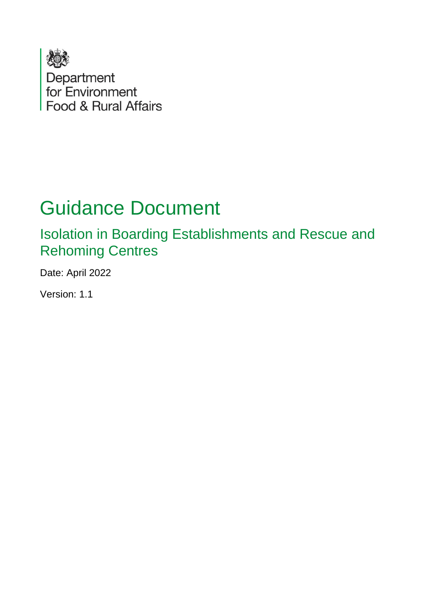

# Guidance Document

Isolation in Boarding Establishments and Rescue and Rehoming Centres

Date: April 2022

Version: 1.1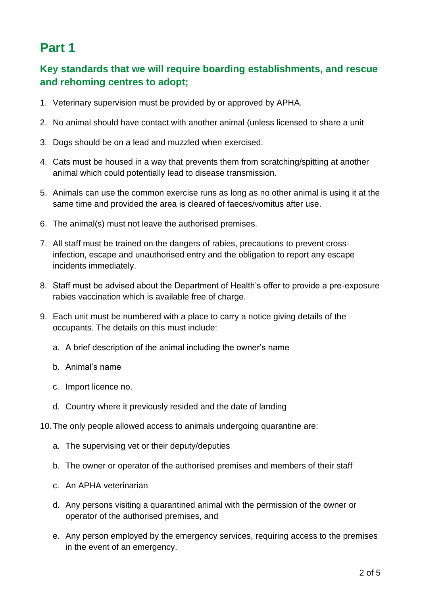## **Part 1**

#### **Key standards that we will require boarding establishments, and rescue and rehoming centres to adopt;**

- 1. Veterinary supervision must be provided by or approved by APHA.
- 2. No animal should have contact with another animal (unless licensed to share a unit
- 3. Dogs should be on a lead and muzzled when exercised.
- 4. Cats must be housed in a way that prevents them from scratching/spitting at another animal which could potentially lead to disease transmission.
- 5. Animals can use the common exercise runs as long as no other animal is using it at the same time and provided the area is cleared of faeces/vomitus after use.
- 6. The animal(s) must not leave the authorised premises.
- 7. All staff must be trained on the dangers of rabies, precautions to prevent crossinfection, escape and unauthorised entry and the obligation to report any escape incidents immediately.
- 8. Staff must be advised about the Department of Health's offer to provide a pre-exposure rabies vaccination which is available free of charge.
- 9. Each unit must be numbered with a place to carry a notice giving details of the occupants. The details on this must include:
	- a. A brief description of the animal including the owner's name
	- b. Animal's name
	- c. Import licence no.
	- d. Country where it previously resided and the date of landing
- 10.The only people allowed access to animals undergoing quarantine are:
	- a. The supervising vet or their deputy/deputies
	- b. The owner or operator of the authorised premises and members of their staff
	- c. An APHA veterinarian
	- d. Any persons visiting a quarantined animal with the permission of the owner or operator of the authorised premises, and
	- e. Any person employed by the emergency services, requiring access to the premises in the event of an emergency.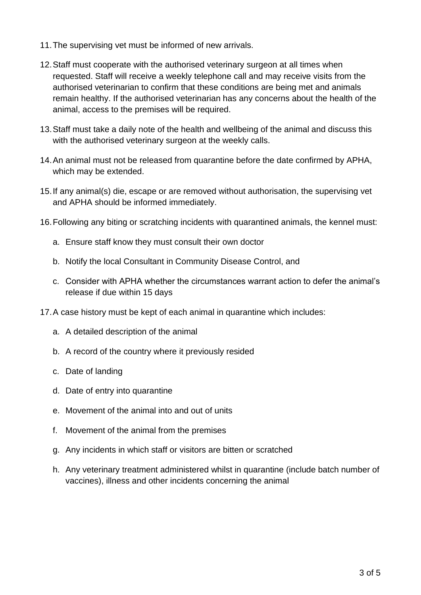- 11.The supervising vet must be informed of new arrivals.
- 12.Staff must cooperate with the authorised veterinary surgeon at all times when requested. Staff will receive a weekly telephone call and may receive visits from the authorised veterinarian to confirm that these conditions are being met and animals remain healthy. If the authorised veterinarian has any concerns about the health of the animal, access to the premises will be required.
- 13.Staff must take a daily note of the health and wellbeing of the animal and discuss this with the authorised veterinary surgeon at the weekly calls.
- 14.An animal must not be released from quarantine before the date confirmed by APHA, which may be extended.
- 15.If any animal(s) die, escape or are removed without authorisation, the supervising vet and APHA should be informed immediately.
- 16.Following any biting or scratching incidents with quarantined animals, the kennel must:
	- a. Ensure staff know they must consult their own doctor
	- b. Notify the local Consultant in Community Disease Control, and
	- c. Consider with APHA whether the circumstances warrant action to defer the animal's release if due within 15 days
- 17.A case history must be kept of each animal in quarantine which includes:
	- a. A detailed description of the animal
	- b. A record of the country where it previously resided
	- c. Date of landing
	- d. Date of entry into quarantine
	- e. Movement of the animal into and out of units
	- f. Movement of the animal from the premises
	- g. Any incidents in which staff or visitors are bitten or scratched
	- h. Any veterinary treatment administered whilst in quarantine (include batch number of vaccines), illness and other incidents concerning the animal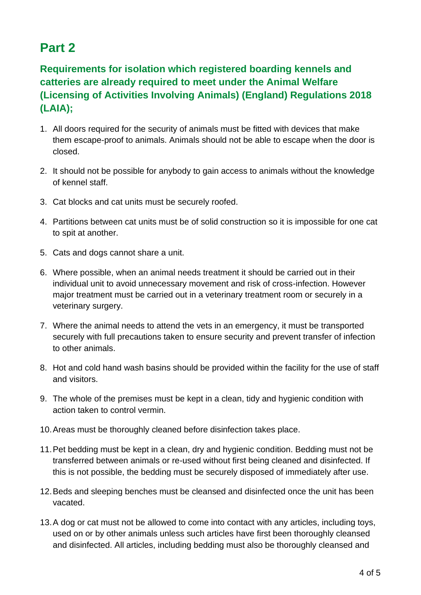## **Part 2**

### **Requirements for isolation which registered boarding kennels and catteries are already required to meet under the Animal Welfare (Licensing of Activities Involving Animals) (England) Regulations 2018 (LAIA);**

- 1. All doors required for the security of animals must be fitted with devices that make them escape-proof to animals. Animals should not be able to escape when the door is closed.
- 2. It should not be possible for anybody to gain access to animals without the knowledge of kennel staff.
- 3. Cat blocks and cat units must be securely roofed.
- 4. Partitions between cat units must be of solid construction so it is impossible for one cat to spit at another.
- 5. Cats and dogs cannot share a unit.
- 6. Where possible, when an animal needs treatment it should be carried out in their individual unit to avoid unnecessary movement and risk of cross-infection. However major treatment must be carried out in a veterinary treatment room or securely in a veterinary surgery.
- 7. Where the animal needs to attend the vets in an emergency, it must be transported securely with full precautions taken to ensure security and prevent transfer of infection to other animals.
- 8. Hot and cold hand wash basins should be provided within the facility for the use of staff and visitors.
- 9. The whole of the premises must be kept in a clean, tidy and hygienic condition with action taken to control vermin.
- 10.Areas must be thoroughly cleaned before disinfection takes place.
- 11.Pet bedding must be kept in a clean, dry and hygienic condition. Bedding must not be transferred between animals or re-used without first being cleaned and disinfected. If this is not possible, the bedding must be securely disposed of immediately after use.
- 12.Beds and sleeping benches must be cleansed and disinfected once the unit has been vacated.
- 13.A dog or cat must not be allowed to come into contact with any articles, including toys, used on or by other animals unless such articles have first been thoroughly cleansed and disinfected. All articles, including bedding must also be thoroughly cleansed and